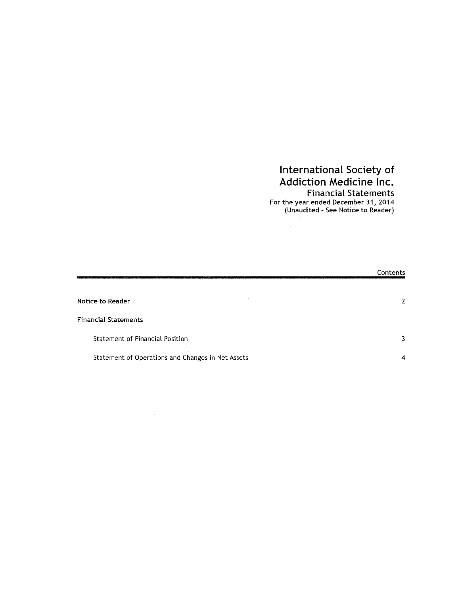## International Society of Addiction Medicine Inc. **Financial Statements**

For the year ended December 31, 2014<br>(Unaudited - See Notice to Reader)

|                                                   | Contents |
|---------------------------------------------------|----------|
|                                                   |          |
| Notice to Reader                                  |          |
| <b>Financial Statements</b>                       |          |
| Statement of Financial Position                   |          |
| Statement of Operations and Changes in Net Assets | 4        |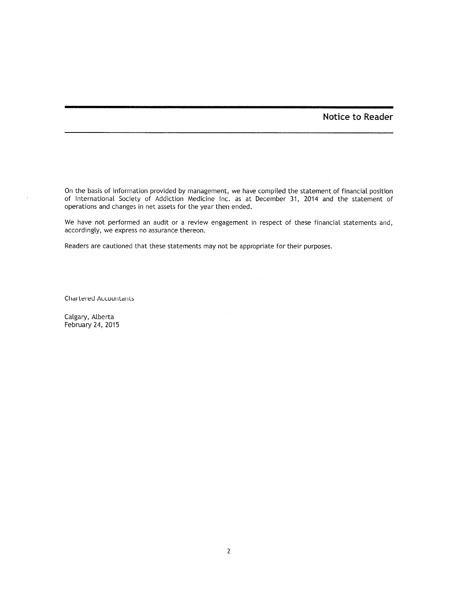### Notice to Reader

On the basis of information provided by management, we have compiled the statement of financial position of International Society of Addiction Medicine Inc. as at December 31, 2014 and the statement of operations and changes in net assets for the year then ended.

We have not performed an audit or a review engagement in respect of these financial statements and, accordingly, we express no assurance thereon.

Readers are cautioned that these statements may not be appropriate for their purposes.

**Chartered Accountants** 

Calgary, Alberta February 24, 2015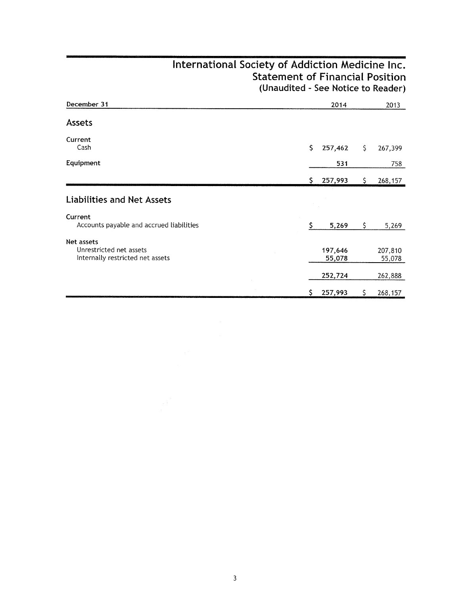# International Society of Addiction Medicine Inc.<br>Statement of Financial Position (Unaudited - See Notice to Reader)

| December 31                                                               |    | 2014              |     | 2013              |
|---------------------------------------------------------------------------|----|-------------------|-----|-------------------|
| <b>Assets</b>                                                             |    |                   |     |                   |
| Current<br>Cash                                                           | \$ | 257,462           | \$. | 267,399           |
| Equipment                                                                 |    | 531               |     | 758               |
|                                                                           | S. | 257,993           | S.  | 268,157           |
| <b>Liabilities and Net Assets</b>                                         |    |                   |     |                   |
| Current<br>Accounts payable and accrued liabilities                       |    | 5,269             | \$. | 5,269             |
| Net assets<br>Unrestricted net assets<br>Internally restricted net assets |    | 197,646<br>55,078 |     | 207,810<br>55,078 |
|                                                                           |    | 252,724           |     | 262,888           |
|                                                                           | Ş. | 257,993           |     | 268,157           |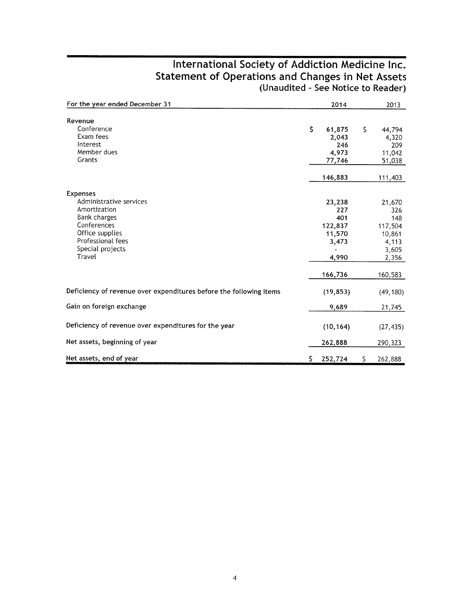# International Society of Addiction Medicine Inc. Statement of Operations and Changes in Net Assets<br>(Unaudited - See Notice to Reader)

| For the year ended December 31                                     |    | 2014      |    | 2013      |
|--------------------------------------------------------------------|----|-----------|----|-----------|
|                                                                    |    |           |    |           |
| Revenue                                                            |    |           |    |           |
| Conference                                                         | \$ | 61,875    | \$ | 44,794    |
| Exam fees                                                          |    | 2,043     |    | 4,320     |
| Interest                                                           |    | 246       |    | 209       |
| Member dues                                                        |    | 4,973     |    | 11,042    |
| Grants                                                             |    | 77,746    |    | 51,038    |
|                                                                    |    | 146,883   |    | 111,403   |
|                                                                    |    |           |    |           |
| <b>Expenses</b>                                                    |    |           |    |           |
| Administrative services                                            |    | 23,238    |    | 21,670    |
| Amortization                                                       |    | 227       |    | 326       |
| Bank charges                                                       |    | 401       |    | 148       |
| Conferences                                                        |    | 122,837   |    | 117,504   |
| Office supplies                                                    |    | 11,570    |    | 10,861    |
| Professional fees                                                  |    | 3,473     |    | 4,113     |
| Special projects                                                   |    |           |    | 3,605     |
| Travel                                                             |    | 4,990     |    | 2,356     |
|                                                                    |    | 166,736   |    | 160,583   |
|                                                                    |    |           |    |           |
| Deficiency of revenue over expenditures before the following items |    | (19, 853) |    | (49, 180) |
| Gain on foreign exchange                                           |    | 9,689     |    | 21,745    |
| Deficiency of revenue over expenditures for the year               |    | (10, 164) |    | (27, 435) |
| Net assets, beginning of year                                      |    | 262,888   |    | 290,323   |
| Net assets, end of year                                            | S. | 252,724   | S. | 262,888   |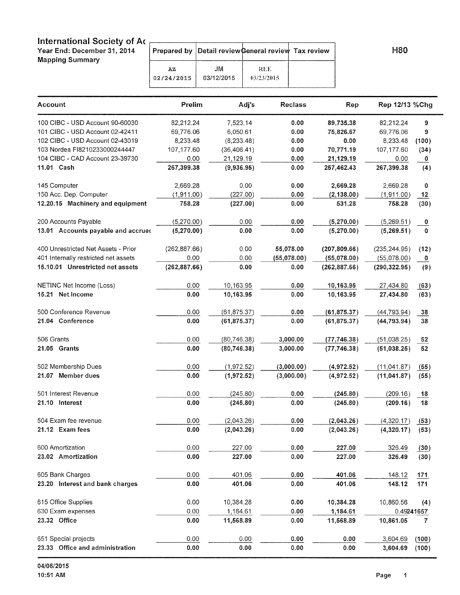| International Society of Ac<br>Year End: December 31, 2014 |                  |                  | Prepared by Detail review General review Tax review |  |
|------------------------------------------------------------|------------------|------------------|-----------------------------------------------------|--|
| Mapping Summary                                            | AZ<br>02/24/2015 | JМ<br>03/12/2015 | -REE<br>03/23/2015                                  |  |

H80

| Account                              | Prelim        | Adj's        | <b>Reclass</b> | Rep           | Rep 12/13 %Chg |              |
|--------------------------------------|---------------|--------------|----------------|---------------|----------------|--------------|
| 100 CIBC - USD Account 90-60030      | 82,212.24     | 7,523.14     | 0.00           | 89,735.38     | 82,212.24      | 9            |
| 101 CIBC - USD Account 02-42411      | 69,776.06     | 6,050.61     | 0.00           | 75,826.67     | 69,776.06      | 9            |
| 102 CIBC - USD Account 02-43019      | 8,233.48      | (8, 233.48)  | 0.00           | 0.00          | 8,233.48       | (100)        |
| 103 Nordea FI8210233000244447        | 107,177.60    | (36, 406.41) | 0.00           | 70,771.19     | 107,177.60     | (34)         |
| 104 CIBC - CAD Account 23-39730      | 0.00          | 21,129.19    | 0.00           | 21,129.19     | 0.00           | 0            |
| 11.01 Cash                           | 267,399.38    | (9,936.95)   | 0.00           | 257,462.43    | 267,399.38     | (4)          |
| 145 Computer                         | 2,669.28      | 0.00         | 0.00           | 2,669.28      | 2,669.28       | 0            |
| 150 Acc. Dep. Computer               | (1,911.00)    | (227.00)     | 0.00           | (2, 138.00)   | (1,911.00)     | 12           |
| 12.20.15 Machinery and equipment     | 758.28        | (227.00)     | 0.00           | 531.28        | 758.28         | (30)         |
| 200 Accounts Payable                 | (5,270.00)    | 0.00         | 0.00           | (5,270.00)    | (5,269.51)     | 0            |
| 13.01 Accounts payable and accrued   | (5,270.00)    | 0.00         | 0.00           | (5,270.00)    | (5,269.51)     | 0            |
| 400 Unrestricted Net Assets - Prior  | (262, 887.66) | 0.00         | 55,078.00      | (207, 809.66) | (235, 244.95)  | (12)         |
| 401 Internally restricted net assets | 0.00          | 0.00         | (55,078.00)    | (55,078.00)   | (55,078.00)    | 0            |
| 15.10.01 Unrestricted net assets     | (262, 887.66) | 0.00         | 0.00           | (262, 887.66) | (290, 322.95)  | (9)          |
| NETINC Net Income (Loss)             | 0.00          |              | 0.00           |               |                |              |
| 15.21 Net Income                     | 0.00          | 10,163.95    |                | 10,163.95     | 27,434.80      | (63)         |
|                                      |               | 10,163.95    | 0.00           | 10,163.95     | 27,434.80      | (63)         |
| 500 Conference Revenue               | 0.00          | (61, 875.37) | 0.00           | (61, 875.37)  | (44, 793.94)   | 38           |
| 21.04 Conference                     | 0.00          | (61, 875.37) | 0.00           | (61, 875.37)  | (44, 793.94)   | 38           |
| 506 Grants                           | 0.00          | (80, 746.38) | 3,000.00       | (77, 746.38)  | (51,038.25)    | 52           |
| 21.05 Grants                         | 0.00          | (80,746.38)  | 3,000.00       | (77, 746.38)  | (51,038.25)    | 52           |
| 502 Membership Dues                  | 0.00          | (1,972.52)   | (3,000.00)     | (4,972.52)    | (11, 041.87)   | (55)         |
| 21.07 Member dues                    | 0.00          | (1,972.52)   | (3,000.00)     | (4,972.52)    | (11, 041.87)   | (55)         |
| 501 Interest Revenue                 | 0.00          | (245.80)     | 0.00           | (245.80)      | (209.16)       | 18           |
| 21.10 Interest                       | 0.00          | (245.80)     | 0.00           | (245.80)      | (209.16)       | 18           |
|                                      |               |              |                |               |                |              |
| 504 Exam fee revenue                 | 0.00          | (2,043.26)   | 0.00           | (2,043.26)    | (4,320.17)     | (53)         |
| 21.12 Exam fees                      | 0.00          | (2,043.26)   | 0.00           | (2,043.26)    | (4,320.17)     | (53)         |
| 600 Amortization                     | 0.00          | 227.00       | 0.00           | 227.00        | 326.49         | (30)         |
| 23.02 Amortization                   | 0.00          | 227.00       | 0.00           | 227.00        | 326.49         | (30)         |
| 605 Bank Charges                     | 0.00          | 401.06       | 0.00           | 401.06        | 148.12         | 171          |
| 23.20 Interest and bank charges      | 0.00          | 401.06       | 0.00           | 401.06        | 148.12         | 171          |
| 615 Office Supplies                  | 0.00          | 10,384.28    | 0.00           | 10,384.28     | 10,860.56      | (4)          |
| 630 Exam expenses                    | 0.00          | 1,184.61     | 0.00           | 1,184.61      | 0.49241657     |              |
| 23.32 Office                         | 0.00          | 11,568.89    | 0.00           | 11,568.89     | 10,861.05      | $\mathbf{7}$ |
|                                      |               |              |                |               |                |              |
| 651 Special projects                 | 0.00          | 0.00         | 0.00           | 0.00          | 3,604.69       | (100)        |
| 23.33 Office and administration      | 0.00          | 0.00         | 0.00           | 0.00          | 3,604.69       | (100)        |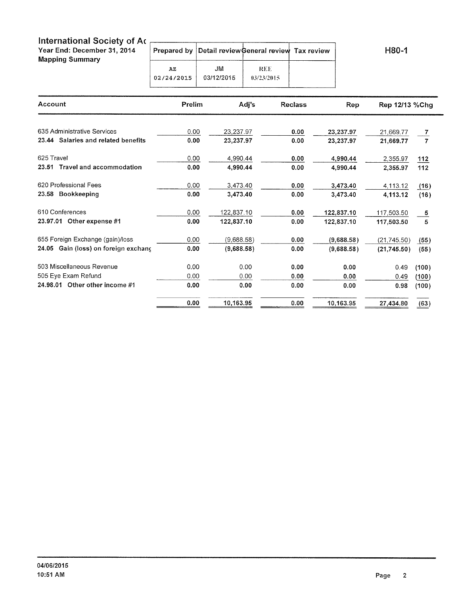| <b>International Society of Ac</b><br>Year End: December 31, 2014<br><b>Mapping Summary</b> |                  |                  | Prepared by Detail review General review Tax review |  |
|---------------------------------------------------------------------------------------------|------------------|------------------|-----------------------------------------------------|--|
|                                                                                             | AZ<br>02/24/2015 | JM<br>03/12/2015 | <b>REE</b><br>03/23/2015                            |  |

H80-1

| Account                                 | Prelim | Adj's      | <b>Reclass</b> | Rep        | Rep 12/13 % Chg |                |
|-----------------------------------------|--------|------------|----------------|------------|-----------------|----------------|
| 635 Administrative Services             | 0.00   | 23,237.97  | 0.00           | 23,237.97  | 21,669.77       | 7              |
| 23.44 Salaries and related benefits     | 0.00   | 23,237.97  | 0.00           | 23,237.97  | 21.669.77       | $\overline{7}$ |
| 625 Travel                              | 0.00   | 4,990.44   | 0.00           | 4,990.44   | 2,355.97        | 112            |
| Travel and accommodation<br>23.51       | 0.00   | 4,990.44   | 0.00           | 4,990.44   | 2,355.97        | $112$          |
| 620 Professional Fees                   | 0.00   | 3,473.40   | 0.00           | 3,473.40   | 4,113.12        | (16)           |
| 23.58 Bookkeeping                       | 0.00   | 3,473.40   | 0.00           | 3,473.40   | 4,113.12        | (16)           |
| 610 Conferences                         | 0.00   | 122,837.10 | 0.00           | 122,837.10 | 117,503.50      | 5              |
| $23.97.01$ Other expense #1             | 0.00   | 122,837.10 | 0.00           | 122,837.10 | 117.503.50      | 5              |
| 655 Foreign Exchange (gain)/loss        | 0.00   | (9,688.58) | 0.00           | (9,688.58) | (21,745.50)     | (55)           |
| Gain (loss) on foreign exchanc<br>24.05 | 0.00   | (9,688.58) | 0.00           | (9,688.58) | (21,745.50)     | (55)           |
| 503 Miscellaneous Revenue               | 0.00   | 0.00       | 0.00           | 0.00       | 0.49            | (100)          |
| 505 Eye Exam Refund                     | 0.00   | 0.00       | 0.00           | 0.00       | 0.49            | (100)          |
| 24.98.01 Other other income #1          | 0.00   | 0.00       | 0.00           | 0.00       | 0.98            | (100)          |
|                                         | 0.00   | 10,163.95  | 0.00           | 10,163.95  | 27,434.80       | (63)           |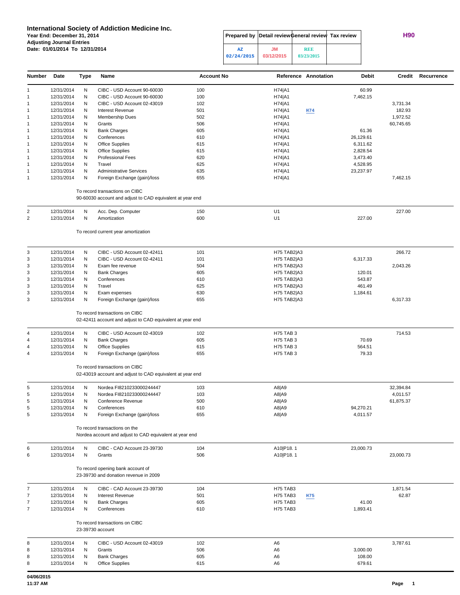#### **International Society of Addiction Medicine Inc. Year End: December 31, 2014 Prepared by Detail reviewGeneral review Tax review H90 Adjusting Journal Entries Date: 01/01/2014 To 12/31/2014 AZ JM REE**

|                                   |            | Prepared by Detail review General review Tax review |  |
|-----------------------------------|------------|-----------------------------------------------------|--|
| $\overline{\mathbf{A}}\mathbf{Z}$ | JМ         | <b>REE</b>                                          |  |
| 02/24/2015                        | 03/12/2015 | 03/23/2015                                          |  |

| Number                           | Date                     | Type   | Name                                                                                        | <b>Account No</b> | Reference Annotation | <b>Debit</b>         | Credit    | Recurrence |
|----------------------------------|--------------------------|--------|---------------------------------------------------------------------------------------------|-------------------|----------------------|----------------------|-----------|------------|
| $\overline{1}$                   | 12/31/2014               | N      | CIBC - USD Account 90-60030                                                                 | 100               | H74 A1               | 60.99                |           |            |
| $\overline{1}$                   | 12/31/2014               | N      | CIBC - USD Account 90-60030                                                                 | 100               | H74 A1               | 7,462.15             |           |            |
| $\overline{1}$                   | 12/31/2014               | N      | CIBC - USD Account 02-43019                                                                 | 102               | H74 A1               |                      | 3,731.34  |            |
| $\overline{1}$                   | 12/31/2014               | N      | <b>Interest Revenue</b>                                                                     | 501               | H74 A1<br>H74        |                      | 182.93    |            |
| $\overline{1}$                   | 12/31/2014               | N      | Membership Dues                                                                             | 502               | H74 A1               |                      | 1,972.52  |            |
| $\overline{1}$                   | 12/31/2014               | N      | Grants                                                                                      | 506               | H74 A1               |                      | 60,745.65 |            |
| $\overline{1}$                   | 12/31/2014               | N      | <b>Bank Charges</b>                                                                         | 605               | H74 A1               | 61.36                |           |            |
| $\overline{1}$                   | 12/31/2014<br>12/31/2014 | N      | Conferences<br><b>Office Supplies</b>                                                       | 610               | H74 A1               | 26,129.61            |           |            |
| $\overline{1}$<br>$\overline{1}$ | 12/31/2014               | N<br>N | <b>Office Supplies</b>                                                                      | 615<br>615        | H74 A1<br>H74 A1     | 6,311.62<br>2,828.54 |           |            |
| $\overline{1}$                   | 12/31/2014               | N      | <b>Professional Fees</b>                                                                    | 620               | H74 A1               | 3,473.40             |           |            |
| $\overline{1}$                   | 12/31/2014               | N      | Travel                                                                                      | 625               | H74 A1               | 4,528.95             |           |            |
| $\overline{1}$                   | 12/31/2014               | N      | <b>Administrative Services</b>                                                              | 635               | H74 A1               | 23,237.97            |           |            |
| $\overline{1}$                   | 12/31/2014               | N      | Foreign Exchange (gain)/loss                                                                | 655               | H74 A1               |                      | 7,462.15  |            |
|                                  |                          |        | To record transactions on CIBC<br>90-60030 account and adjust to CAD equivalent at year end |                   |                      |                      |           |            |
| $\overline{c}$                   | 12/31/2014               | N      | Acc. Dep. Computer                                                                          | 150               | U1                   |                      | 227.00    |            |
| 2                                | 12/31/2014               | N      | Amortization                                                                                | 600               | U1                   | 227.00               |           |            |
|                                  |                          |        | To record current year amortization                                                         |                   |                      |                      |           |            |
| 3                                | 12/31/2014               | N      | CIBC - USD Account 02-42411                                                                 | 101               | <b>H75 TAB2 A3</b>   |                      | 266.72    |            |
| 3                                | 12/31/2014               | N      | CIBC - USD Account 02-42411                                                                 | 101               | <b>H75 TAB2 A3</b>   | 6,317.33             |           |            |
| 3                                | 12/31/2014               | N      | Exam fee revenue                                                                            | 504               | <b>H75 TAB2 A3</b>   |                      | 2,043.26  |            |
| 3                                | 12/31/2014               | N      | <b>Bank Charges</b>                                                                         | 605               | <b>H75 TAB2 A3</b>   | 120.01               |           |            |
| 3                                | 12/31/2014               | N      | Conferences                                                                                 | 610               | <b>H75 TAB2 A3</b>   | 543.87               |           |            |
| 3                                | 12/31/2014               | N      | Travel                                                                                      | 625               | <b>H75 TAB2 A3</b>   | 461.49               |           |            |
| 3                                | 12/31/2014               | N      | Exam expenses                                                                               | 630               | <b>H75 TAB2 A3</b>   | 1,184.61             |           |            |
| 3                                | 12/31/2014               | N      | Foreign Exchange (gain)/loss                                                                | 655               | <b>H75 TAB2 A3</b>   |                      | 6,317.33  |            |
|                                  |                          |        | To record transactions on CIBC<br>02-42411 account and adjust to CAD equivalent at year end |                   |                      |                      |           |            |
| 4                                | 12/31/2014               | N      | CIBC - USD Account 02-43019                                                                 | 102               | <b>H75 TAB 3</b>     |                      | 714.53    |            |
| 4                                | 12/31/2014               | N      | <b>Bank Charges</b>                                                                         | 605               | <b>H75 TAB 3</b>     | 70.69                |           |            |
| 4                                | 12/31/2014               | N      | <b>Office Supplies</b>                                                                      | 615               | <b>H75 TAB 3</b>     | 564.51               |           |            |
| $\overline{4}$                   | 12/31/2014               | N      | Foreign Exchange (gain)/loss                                                                | 655               | <b>H75 TAB 3</b>     | 79.33                |           |            |
|                                  |                          |        | To record transactions on CIBC<br>02-43019 account and adjust to CAD equivalent at year end |                   |                      |                      |           |            |
| 5                                | 12/31/2014               | N      | Nordea FI8210233000244447                                                                   | 103               | A8 A9                |                      | 32,394.84 |            |
| 5                                | 12/31/2014               | N      | Nordea FI8210233000244447                                                                   | 103               | A8 A9                |                      | 4,011.57  |            |
| 5                                | 12/31/2014               | N      | Conference Revenue                                                                          | 500               | A8 A9                |                      | 61,875.37 |            |
| 5                                | 12/31/2014               | N      | Conferences                                                                                 | 610               | A8 A9                | 94,270.21            |           |            |
| 5                                | 12/31/2014               | N      | Foreign Exchange (gain)/loss                                                                | 655               | A8 A9                | 4,011.57             |           |            |
|                                  |                          |        | To record transactions on the<br>Nordea account and adjust to CAD equivalent at year end    |                   |                      |                      |           |            |
| 6                                | 12/31/2014               | N      | CIBC - CAD Account 23-39730                                                                 | 104               | A10 P18.1            | 23,000.73            |           |            |
| 6                                | 12/31/2014               | N      | Grants                                                                                      | 506               | A10 P18.1            |                      | 23,000.73 |            |
|                                  |                          |        | To record opening bank account of<br>23-39730 and donation revenue in 2009                  |                   |                      |                      |           |            |
| $\overline{7}$                   | 12/31/2014               | N      | CIBC - CAD Account 23-39730                                                                 | 104               | H75 TAB3             |                      | 1,871.54  |            |
| $\overline{7}$                   | 12/31/2014               | N      | <b>Interest Revenue</b>                                                                     | 501               | H75 TAB3<br>H75      |                      | 62.87     |            |
| $\overline{7}$<br>$\overline{7}$ | 12/31/2014<br>12/31/2014 | N<br>N | <b>Bank Charges</b><br>Conferences                                                          | 605<br>610        | H75 TAB3<br>H75 TAB3 | 41.00<br>1,893.41    |           |            |
|                                  |                          |        | To record transactions on CIBC<br>23-39730 account                                          |                   |                      |                      |           |            |
| 8                                |                          |        |                                                                                             |                   |                      |                      |           |            |
| 8                                | 12/31/2014<br>12/31/2014 | N<br>N | CIBC - USD Account 02-43019<br>Grants                                                       | 102<br>506        | A6<br>A6             | 3,000.00             | 3,787.61  |            |
| 8                                | 12/31/2014               | N      | <b>Bank Charges</b>                                                                         | 605               | A6                   | 108.00               |           |            |
| 8                                | 12/31/2014               | N      | <b>Office Supplies</b>                                                                      | 615               | A6                   | 679.61               |           |            |